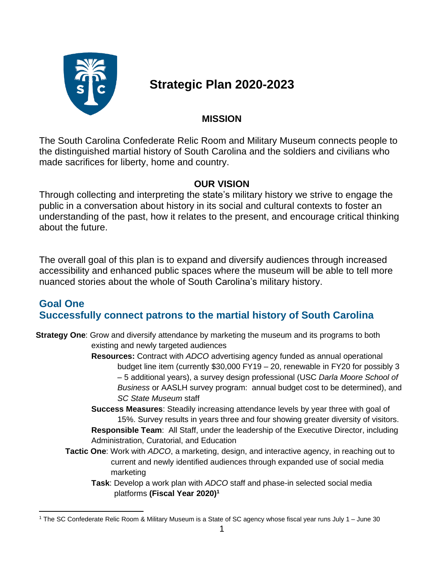

# **Strategic Plan 2020-2023**

# **MISSION**

The South Carolina Confederate Relic Room and Military Museum connects people to the distinguished martial history of South Carolina and the soldiers and civilians who made sacrifices for liberty, home and country.

### **OUR VISION**

Through collecting and interpreting the state's military history we strive to engage the public in a conversation about history in its social and cultural contexts to foster an understanding of the past, how it relates to the present, and encourage critical thinking about the future.

The overall goal of this plan is to expand and diversify audiences through increased accessibility and enhanced public spaces where the museum will be able to tell more nuanced stories about the whole of South Carolina's military history.

# **Goal One Successfully connect patrons to the martial history of South Carolina**

**Strategy One**: Grow and diversify attendance by marketing the museum and its programs to both existing and newly targeted audiences

**Resources:** Contract with *ADCO* advertising agency funded as annual operational budget line item (currently \$30,000 FY19 – 20, renewable in FY20 for possibly 3 – 5 additional years), a survey design professional (USC *Darla Moore School of Business* or AASLH survey program: annual budget cost to be determined), and *SC State Museum* staff

**Success Measures**: Steadily increasing attendance levels by year three with goal of 15%. Survey results in years three and four showing greater diversity of visitors. **Responsible Team**: All Staff, under the leadership of the Executive Director, including Administration, Curatorial, and Education

- **Tactic One**: Work with *ADCO*, a marketing, design, and interactive agency, in reaching out to current and newly identified audiences through expanded use of social media marketing
	- **Task**: Develop a work plan with *ADCO* staff and phase-in selected social media platforms **(Fiscal Year 2020) 1**

<sup>1</sup> The SC Confederate Relic Room & Military Museum is a State of SC agency whose fiscal year runs July 1 – June 30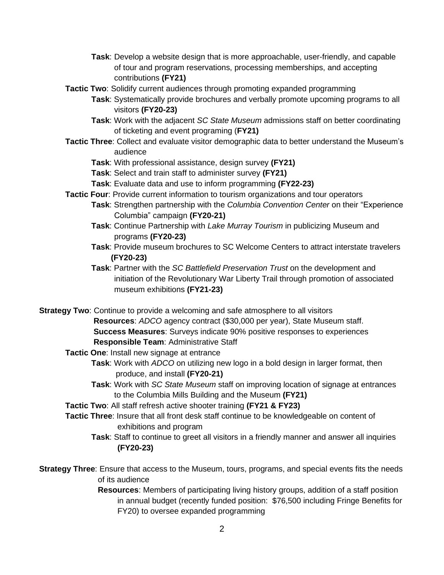- **Task**: Develop a website design that is more approachable, user-friendly, and capable of tour and program reservations, processing memberships, and accepting contributions **(FY21)**
- **Tactic Two**: Solidify current audiences through promoting expanded programming
	- **Task**: Systematically provide brochures and verbally promote upcoming programs to all visitors **(FY20-23)**
		- **Task**: Work with the adjacent *SC State Museum* admissions staff on better coordinating of ticketing and event programing (**FY21)**
- **Tactic Three**: Collect and evaluate visitor demographic data to better understand the Museum's audience
	- **Task**: With professional assistance, design survey **(FY21)**
	- **Task**: Select and train staff to administer survey **(FY21)**
	- **Task**: Evaluate data and use to inform programming **(FY22-23)**
- **Tactic Four**: Provide current information to tourism organizations and tour operators
	- **Task**: Strengthen partnership with the *Columbia Convention Center* on their "Experience Columbia" campaign **(FY20-21)**
	- **Task**: Continue Partnership with *Lake Murray Tourism* in publicizing Museum and programs **(FY20-23)**
	- **Task**: Provide museum brochures to SC Welcome Centers to attract interstate travelers **(FY20-23)**
	- **Task**: Partner with the *SC Battlefield Preservation Trust* on the development and initiation of the Revolutionary War Liberty Trail through promotion of associated museum exhibitions **(FY21-23)**

**Strategy Two**: Continue to provide a welcoming and safe atmosphere to all visitors

- **Resources**: *ADCO* agency contract (\$30,000 per year), State Museum staff. **Success Measures**: Surveys indicate 90% positive responses to experiences **Responsible Team**: Administrative Staff
- **Tactic One**: Install new signage at entrance
	- **Task**: Work with *ADCO* on utilizing new logo in a bold design in larger format, then produce, and install **(FY20-21)**
	- **Task**: Work with *SC State Museum* staff on improving location of signage at entrances to the Columbia Mills Building and the Museum **(FY21)**
- **Tactic Two**: All staff refresh active shooter training **(FY21 & FY23)**
- **Tactic Three**: Insure that all front desk staff continue to be knowledgeable on content of exhibitions and program
	- **Task**: Staff to continue to greet all visitors in a friendly manner and answer all inquiries **(FY20-23)**
- **Strategy Three**: Ensure that access to the Museum, tours, programs, and special events fits the needs of its audience
	- **Resources**: Members of participating living history groups, addition of a staff position in annual budget (recently funded position: \$76,500 including Fringe Benefits for FY20) to oversee expanded programming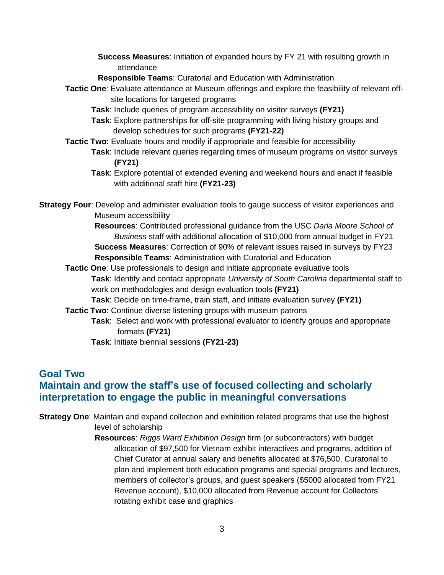- **Success Measures**: Initiation of expanded hours by FY 21 with resulting growth in attendance
- **Responsible Teams**: Curatorial and Education with Administration
- **Tactic One**: Evaluate attendance at Museum offerings and explore the feasibility of relevant offsite locations for targeted programs
	- **Task**: Include queries of program accessibility on visitor surveys **(FY21)**
	- **Task**: Explore partnerships for off-site programming with living history groups and develop schedules for such programs **(FY21-22)**
- **Tactic Two**: Evaluate hours and modify if appropriate and feasible for accessibility **Task**: Include relevant queries regarding times of museum programs on visitor surveys **(FY21)**
	- **Task**: Explore potential of extended evening and weekend hours and enact if feasible with additional staff hire **(FY21-23)**

**Strategy Four**: Develop and administer evaluation tools to gauge success of visitor experiences and Museum accessibility

> **Resources**: Contributed professional guidance from the USC *Darla Moore School of Business* staff with additional allocation of \$10,000 from annual budget in FY21 **Success Measures**: Correction of 90% of relevant issues raised in surveys by FY23 **Responsible Teams**: Administration with Curatorial and Education

- **Tactic One**: Use professionals to design and initiate appropriate evaluative tools **Task**: Identify and contact appropriate *University of South Carolina* departmental staff to work on methodologies and design evaluation tools **(FY21)**
	- **Task**: Decide on time-frame, train staff, and initiate evaluation survey **(FY21)**

**Tactic Two**: Continue diverse listening groups with museum patrons

**Task**: Select and work with professional evaluator to identify groups and appropriate formats **(FY21)**

**Task**: Initiate biennial sessions **(FY21-23)**

#### **Goal Two Maintain and grow the staff's use of focused collecting and scholarly interpretation to engage the public in meaningful conversations**

**Strategy One**: Maintain and expand collection and exhibition related programs that use the highest level of scholarship

> **Resources**: *Riggs Ward Exhibition Design* firm (or subcontractors) with budget allocation of \$97,500 for Vietnam exhibit interactives and programs, addition of Chief Curator at annual salary and benefits allocated at \$76,500, Curatorial to plan and implement both education programs and special programs and lectures, members of collector's groups, and guest speakers (\$5000 allocated from FY21 Revenue account), \$10,000 allocated from Revenue account for Collectors' rotating exhibit case and graphics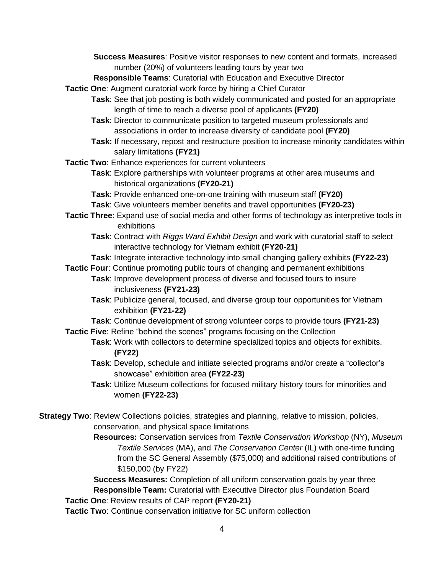**Success Measures**: Positive visitor responses to new content and formats, increased number (20%) of volunteers leading tours by year two

**Responsible Teams**: Curatorial with Education and Executive Director

**Tactic One**: Augment curatorial work force by hiring a Chief Curator

- **Task**: See that job posting is both widely communicated and posted for an appropriate length of time to reach a diverse pool of applicants **(FY20)**
- **Task**: Director to communicate position to targeted museum professionals and associations in order to increase diversity of candidate pool **(FY20)**
- **Task:** If necessary, repost and restructure position to increase minority candidates within salary limitations **(FY21)**
- **Tactic Two**: Enhance experiences for current volunteers
	- **Task**: Explore partnerships with volunteer programs at other area museums and historical organizations **(FY20-21)**
	- **Task**: Provide enhanced one-on-one training with museum staff **(FY20)**

**Task**: Give volunteers member benefits and travel opportunities **(FY20-23)**

- **Tactic Three**: Expand use of social media and other forms of technology as interpretive tools in exhibitions
	- **Task**: Contract with *Riggs Ward Exhibit Design* and work with curatorial staff to select interactive technology for Vietnam exhibit **(FY20-21)**

**Task**: Integrate interactive technology into small changing gallery exhibits **(FY22-23)**

- **Tactic Four**: Continue promoting public tours of changing and permanent exhibitions **Task**: Improve development process of diverse and focused tours to insure inclusiveness **(FY21-23)**
	- **Task**: Publicize general, focused, and diverse group tour opportunities for Vietnam exhibition **(FY21-22)**

**Task**: Continue development of strong volunteer corps to provide tours **(FY21-23)**

**Tactic Five**: Refine "behind the scenes" programs focusing on the Collection

- **Task**: Work with collectors to determine specialized topics and objects for exhibits. **(FY22)**
- **Task**: Develop, schedule and initiate selected programs and/or create a "collector's showcase" exhibition area **(FY22-23)**
- **Task**: Utilize Museum collections for focused military history tours for minorities and women **(FY22-23)**
- **Strategy Two**: Review Collections policies, strategies and planning, relative to mission, policies, conservation, and physical space limitations
	- **Resources:** Conservation services from *Textile Conservation Workshop* (NY), *Museum Textile Services* (MA), and *The Conservation Center* (IL) with one-time funding from the SC General Assembly (\$75,000) and additional raised contributions of \$150,000 (by FY22)

**Success Measures:** Completion of all uniform conservation goals by year three **Responsible Team:** Curatorial with Executive Director plus Foundation Board **Tactic One**: Review results of CAP report **(FY20-21)**

**Tactic Two**: Continue conservation initiative for SC uniform collection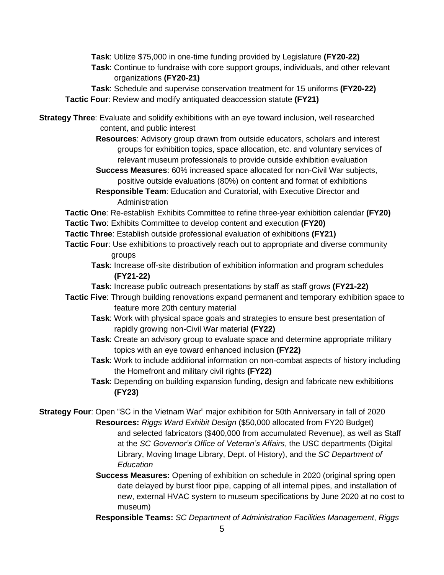**Task**: Utilize \$75,000 in one-time funding provided by Legislature **(FY20-22) Task**: Continue to fundraise with core support groups, individuals, and other relevant organizations **(FY20-21)**

**Task**: Schedule and supervise conservation treatment for 15 uniforms **(FY20-22) Tactic Four**: Review and modify antiquated deaccession statute **(FY21)**

**Strategy Three**: Evaluate and solidify exhibitions with an eye toward inclusion, well-researched content, and public interest

- **Resources**: Advisory group drawn from outside educators, scholars and interest groups for exhibition topics, space allocation, etc. and voluntary services of relevant museum professionals to provide outside exhibition evaluation
- **Success Measures**: 60% increased space allocated for non-Civil War subjects, positive outside evaluations (80%) on content and format of exhibitions
- **Responsible Team**: Education and Curatorial, with Executive Director and Administration

**Tactic One**: Re-establish Exhibits Committee to refine three-year exhibition calendar **(FY20)**

- **Tactic Two**: Exhibits Committee to develop content and execution **(FY20)**
- **Tactic Three**: Establish outside professional evaluation of exhibitions **(FY21)**
- **Tactic Four**: Use exhibitions to proactively reach out to appropriate and diverse community groups
	- **Task**: Increase off-site distribution of exhibition information and program schedules **(FY21-22)**
	- **Task**: Increase public outreach presentations by staff as staff grows **(FY21-22)**
- **Tactic Five**: Through building renovations expand permanent and temporary exhibition space to feature more 20th century material
	- **Task**: Work with physical space goals and strategies to ensure best presentation of rapidly growing non-Civil War material **(FY22)**
	- **Task**: Create an advisory group to evaluate space and determine appropriate military topics with an eye toward enhanced inclusion **(FY22)**
	- **Task**: Work to include additional information on non-combat aspects of history including the Homefront and military civil rights **(FY22)**
	- **Task**: Depending on building expansion funding, design and fabricate new exhibitions **(FY23)**

**Strategy Four**: Open "SC in the Vietnam War" major exhibition for 50th Anniversary in fall of 2020  **Resources:** *Riggs Ward Exhibit Design* (\$50,000 allocated from FY20 Budget) and selected fabricators (\$400,000 from accumulated Revenue), as well as Staff at the *SC Governor's Office of Veteran's Affairs*, the USC departments (Digital Library, Moving Image Library, Dept. of History), and the *SC Department of Education*

- **Success Measures:** Opening of exhibition on schedule in 2020 (original spring open date delayed by burst floor pipe, capping of all internal pipes, and installation of new, external HVAC system to museum specifications by June 2020 at no cost to museum)
- **Responsible Teams:** *SC Department of Administration Facilities Management*, *Riggs*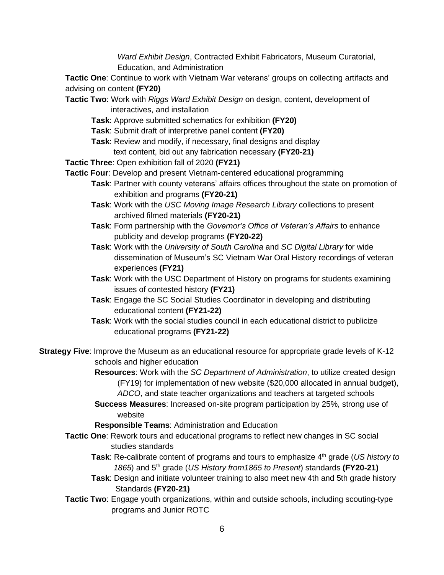*Ward Exhibit Design*, Contracted Exhibit Fabricators, Museum Curatorial, Education, and Administration

**Tactic One**: Continue to work with Vietnam War veterans' groups on collecting artifacts and advising on content **(FY20)**

- **Tactic Two**: Work with *Riggs Ward Exhibit Design* on design, content, development of interactives, and installation
	- **Task**: Approve submitted schematics for exhibition **(FY20)**
	- **Task**: Submit draft of interpretive panel content **(FY20)**
	- **Task**: Review and modify, if necessary, final designs and display text content, bid out any fabrication necessary **(FY20-21)**
- **Tactic Three**: Open exhibition fall of 2020 **(FY21)**
- **Tactic Four**: Develop and present Vietnam-centered educational programming
	- **Task**: Partner with county veterans' affairs offices throughout the state on promotion of exhibition and programs **(FY20-21)**
	- **Task**: Work with the *USC Moving Image Research Library* collections to present archived filmed materials **(FY20-21)**
	- **Task**: Form partnership with the *Governor's Office of Veteran's Affairs* to enhance publicity and develop programs **(FY20-22)**
	- **Task**: Work with the *University of South Carolina* and *SC Digital Library* for wide dissemination of Museum's SC Vietnam War Oral History recordings of veteran experiences **(FY21)**
	- **Task**: Work with the USC Department of History on programs for students examining issues of contested history **(FY21)**
	- **Task**: Engage the SC Social Studies Coordinator in developing and distributing educational content **(FY21-22)**
	- **Task**: Work with the social studies council in each educational district to publicize educational programs **(FY21-22)**

**Strategy Five**: Improve the Museum as an educational resource for appropriate grade levels of K-12 schools and higher education

> **Resources**: Work with the *SC Department of Administration*, to utilize created design (FY19) for implementation of new website (\$20,000 allocated in annual budget), *ADCO*, and state teacher organizations and teachers at targeted schools

**Success Measures**: Increased on-site program participation by 25%, strong use of website

**Responsible Teams**: Administration and Education

- **Tactic One**: Rework tours and educational programs to reflect new changes in SC social studies standards
	- **Task**: Re-calibrate content of programs and tours to emphasize 4 th grade (*US history to 1865*) and 5 th grade (*US History from1865 to Present*) standards **(FY20-21)**
	- **Task**: Design and initiate volunteer training to also meet new 4th and 5th grade history Standards **(FY20-21)**
- **Tactic Two**: Engage youth organizations, within and outside schools, including scouting-type programs and Junior ROTC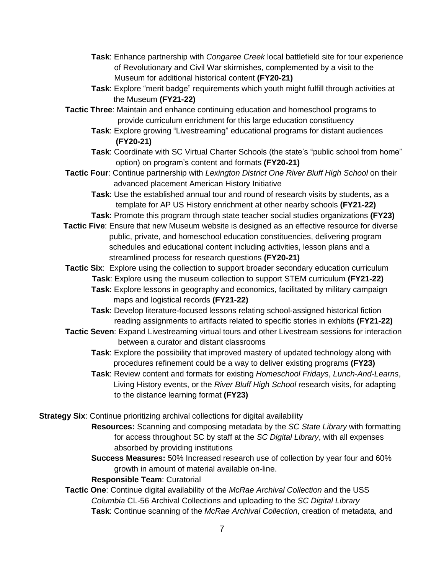- **Task**: Enhance partnership with *Congaree Creek* local battlefield site for tour experience of Revolutionary and Civil War skirmishes, complemented by a visit to the Museum for additional historical content **(FY20-21)**
- **Task**: Explore "merit badge" requirements which youth might fulfill through activities at the Museum **(FY21-22)**
- **Tactic Three**: Maintain and enhance continuing education and homeschool programs to provide curriculum enrichment for this large education constituency
	- **Task**: Explore growing "Livestreaming" educational programs for distant audiences **(FY20-21)**
	- **Task**: Coordinate with SC Virtual Charter Schools (the state's "public school from home" option) on program's content and formats **(FY20-21)**
- **Tactic Four**: Continue partnership with *Lexington District One River Bluff High School* on their advanced placement American History Initiative
	- **Task**: Use the established annual tour and round of research visits by students, as a template for AP US History enrichment at other nearby schools **(FY21-22)**
	- **Task**: Promote this program through state teacher social studies organizations **(FY23)**
- **Tactic Five**: Ensure that new Museum website is designed as an effective resource for diverse public, private, and homeschool education constituencies, delivering program schedules and educational content including activities, lesson plans and a streamlined process for research questions **(FY20-21)**
- **Tactic Six**: Explore using the collection to support broader secondary education curriculum **Task**: Explore using the museum collection to support STEM curriculum **(FY21-22)**
	- **Task**: Explore lessons in geography and economics, facilitated by military campaign maps and logistical records **(FY21-22)**
	- **Task**: Develop literature-focused lessons relating school-assigned historical fiction reading assignments to artifacts related to specific stories in exhibits **(FY21-22)**
- **Tactic Seven**: Expand Livestreaming virtual tours and other Livestream sessions for interaction between a curator and distant classrooms
	- **Task**: Explore the possibility that improved mastery of updated technology along with procedures refinement could be a way to deliver existing programs **(FY23)**
	- **Task**: Review content and formats for existing *Homeschool Fridays*, *Lunch-And-Learns*, Living History events, or the *River Bluff High School* research visits, for adapting to the distance learning format **(FY23)**
- **Strategy Six**: Continue prioritizing archival collections for digital availability
	- **Resources:** Scanning and composing metadata by the *SC State Library* with formatting for access throughout SC by staff at the *SC Digital Library*, with all expenses absorbed by providing institutions
	- **Success Measures:** 50% Increased research use of collection by year four and 60% growth in amount of material available on-line.

#### **Responsible Team**: Curatorial

**Tactic One**: Continue digital availability of the *McRae Archival Collection* and the USS *Columbia* CL-56 Archival Collections and uploading to the *SC Digital Library* **Task**: Continue scanning of the *McRae Archival Collection*, creation of metadata, and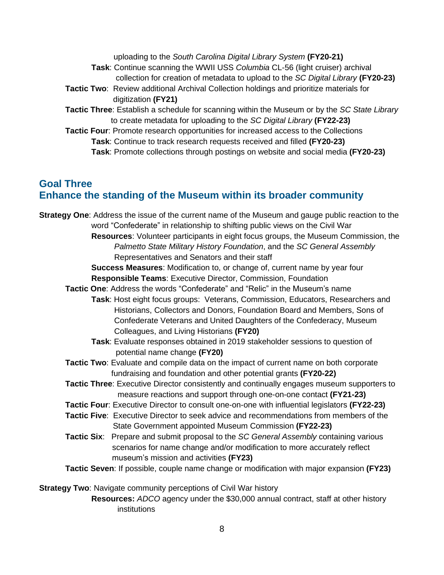uploading to the *South Carolina Digital Library System* **(FY20-21) Task**: Continue scanning the WWII USS *Columbia* CL-56 (light cruiser) archival collection for creation of metadata to upload to the *SC Digital Library* **(FY20-23) Tactic Two**:Review additional Archival Collection holdings and prioritize materials for digitization **(FY21) Tactic Three**: Establish a schedule for scanning within the Museum or by the *SC State Library* to create metadata for uploading to the *SC Digital Library* **(FY22-23) Tactic Four**: Promote research opportunities for increased access to the Collections **Task**: Continue to track research requests received and filled **(FY20-23) Task**: Promote collections through postings on website and social media **(FY20-23)**

#### **Goal Three Enhance the standing of the Museum within its broader community**

**Strategy One**: Address the issue of the current name of the Museum and gauge public reaction to the word "Confederate" in relationship to shifting public views on the Civil War **Resources**: Volunteer participants in eight focus groups, the Museum Commission, the *Palmetto State Military History Foundation*, and the *SC General Assembly* Representatives and Senators and their staff **Success Measures**: Modification to, or change of, current name by year four **Responsible Teams**: Executive Director, Commission, Foundation **Tactic One**: Address the words "Confederate" and "Relic" in the Museum's name **Task**: Host eight focus groups: Veterans, Commission, Educators, Researchers and Historians, Collectors and Donors, Foundation Board and Members, Sons of Confederate Veterans and United Daughters of the Confederacy, Museum Colleagues, and Living Historians **(FY20) Task**: Evaluate responses obtained in 2019 stakeholder sessions to question of potential name change **(FY20) Tactic Two**: Evaluate and compile data on the impact of current name on both corporate fundraising and foundation and other potential grants **(FY20-22) Tactic Three**: Executive Director consistently and continually engages museum supporters to measure reactions and support through one-on-one contact **(FY21-23) Tactic Four**: Executive Director to consult one-on-one with influential legislators **(FY22-23) Tactic Five**: Executive Director to seek advice and recommendations from members of the State Government appointed Museum Commission **(FY22-23) Tactic Six**: Prepare and submit proposal to the *SC General Assembly* containing various scenarios for name change and/or modification to more accurately reflect museum's mission and activities **(FY23) Tactic Seven**: If possible, couple name change or modification with major expansion **(FY23) Strategy Two**: Navigate community perceptions of Civil War history

> **Resources:** *ADCO* agency under the \$30,000 annual contract, staff at other history institutions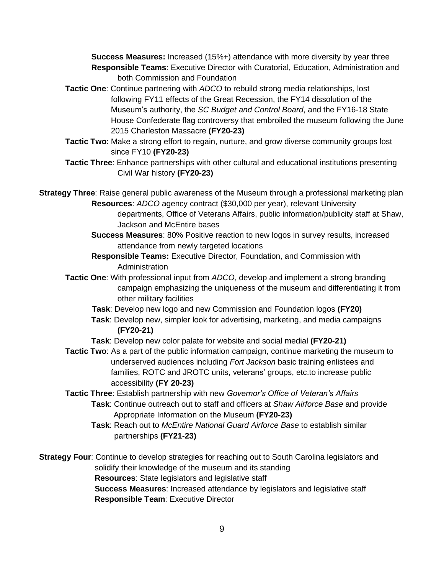**Success Measures:** Increased (15%+) attendance with more diversity by year three **Responsible Teams**: Executive Director with Curatorial, Education, Administration and both Commission and Foundation

- **Tactic One**: Continue partnering with *ADCO* to rebuild strong media relationships, lost following FY11 effects of the Great Recession, the FY14 dissolution of the Museum's authority, the *SC Budget and Control Board*, and the FY16-18 State House Confederate flag controversy that embroiled the museum following the June 2015 Charleston Massacre **(FY20-23)**
- **Tactic Two**: Make a strong effort to regain, nurture, and grow diverse community groups lost since FY10 **(FY20-23)**
- **Tactic Three**: Enhance partnerships with other cultural and educational institutions presenting Civil War history **(FY20-23)**

**Strategy Three**: Raise general public awareness of the Museum through a professional marketing plan **Resources**: *ADCO* agency contract (\$30,000 per year), relevant University

- departments, Office of Veterans Affairs, public information/publicity staff at Shaw, Jackson and McEntire bases
- **Success Measures**: 80% Positive reaction to new logos in survey results, increased attendance from newly targeted locations
- **Responsible Teams:** Executive Director, Foundation, and Commission with Administration
- **Tactic One**: With professional input from *ADCO*, develop and implement a strong branding campaign emphasizing the uniqueness of the museum and differentiating it from other military facilities
	- **Task**: Develop new logo and new Commission and Foundation logos **(FY20)**
	- **Task**: Develop new, simpler look for advertising, marketing, and media campaigns **(FY20-21)**
	- **Task**: Develop new color palate for website and social medial **(FY20-21)**
- **Tactic Two**: As a part of the public information campaign, continue marketing the museum to underserved audiences including *Fort Jackson* basic training enlistees and families, ROTC and JROTC units, veterans' groups, etc.to increase public accessibility **(FY 20-23)**

**Tactic Three**: Establish partnership with new *Governor's Office of Veteran's Affairs* **Task**: Continue outreach out to staff and officers at *Shaw Airforce Base* and provide Appropriate Information on the Museum **(FY20-23)**

**Task**: Reach out to *McEntire National Guard Airforce Base* to establish similar partnerships **(FY21-23)**

**Strategy Four**: Continue to develop strategies for reaching out to South Carolina legislators and solidify their knowledge of the museum and its standing **Resources**: State legislators and legislative staff **Success Measures**: Increased attendance by legislators and legislative staff **Responsible Team**: Executive Director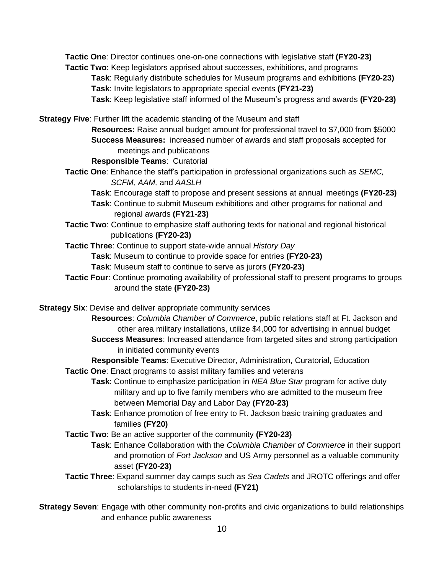**Tactic One**: Director continues one-on-one connections with legislative staff **(FY20-23) Tactic Two**: Keep legislators apprised about successes, exhibitions, and programs **Task**: Regularly distribute schedules for Museum programs and exhibitions **(FY20-23)**

**Task**: Invite legislators to appropriate special events **(FY21-23)**

**Task**: Keep legislative staff informed of the Museum's progress and awards **(FY20-23)**

**Strategy Five**: Further lift the academic standing of the Museum and staff

**Resources:** Raise annual budget amount for professional travel to \$7,000 from \$5000 **Success Measures:** increased number of awards and staff proposals accepted for meetings and publications

**Responsible Teams**: Curatorial

**Tactic One**: Enhance the staff's participation in professional organizations such as *SEMC, SCFM, AAM,* and *AASLH*

**Task**: Encourage staff to propose and present sessions at annual meetings **(FY20-23)**

- **Task**: Continue to submit Museum exhibitions and other programs for national and regional awards **(FY21-23)**
- **Tactic Two**: Continue to emphasize staff authoring texts for national and regional historical publications **(FY20-23)**

**Tactic Three**: Continue to support state-wide annual *History Day*

**Task**: Museum to continue to provide space for entries **(FY20-23)**

**Task**: Museum staff to continue to serve as jurors **(FY20-23)**

**Tactic Four**: Continue promoting availability of professional staff to present programs to groups around the state **(FY20-23)**

**Strategy Six**: Devise and deliver appropriate community services

**Resources**: *Columbia Chamber of Commerce*, public relations staff at Ft. Jackson and other area military installations, utilize \$4,000 for advertising in annual budget

**Success Measures**: Increased attendance from targeted sites and strong participation in initiated community events

**Responsible Teams**: Executive Director, Administration, Curatorial, Education

**Tactic One**: Enact programs to assist military families and veterans

**Task**: Continue to emphasize participation in *NEA Blue Star* program for active duty military and up to five family members who are admitted to the museum free between Memorial Day and Labor Day **(FY20-23)**

**Task**: Enhance promotion of free entry to Ft. Jackson basic training graduates and families **(FY20)**

**Tactic Two**: Be an active supporter of the community **(FY20-23)**

**Task**: Enhance Collaboration with the *Columbia Chamber of Commerce* in their support and promotion of *Fort Jackson* and US Army personnel as a valuable community asset **(FY20-23)**

**Tactic Three**: Expand summer day camps such as *Sea Cadets* and JROTC offerings and offer scholarships to students in-need **(FY21)**

**Strategy Seven**: Engage with other community non-profits and civic organizations to build relationships and enhance public awareness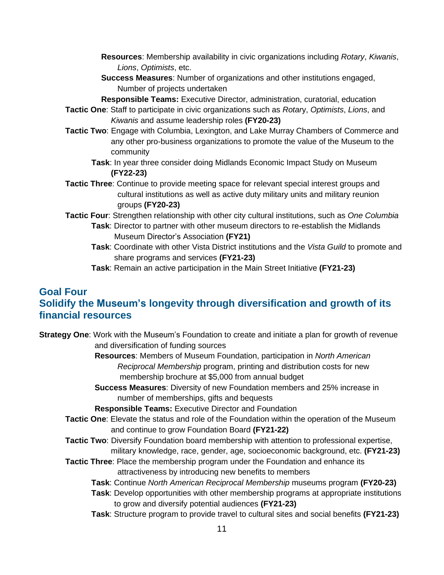- **Resources**: Membership availability in civic organizations including *Rotary*, *Kiwanis*, *Lions*, *Optimists*, etc.
- **Success Measures**: Number of organizations and other institutions engaged, Number of projects undertaken
- **Responsible Teams:** Executive Director, administration, curatorial, education
- **Tactic One**: Staff to participate in civic organizations such as *Rotar*y, *Optimists*, *Lions*, and *Kiwanis* and assume leadership roles **(FY20-23)**
- **Tactic Two**: Engage with Columbia, Lexington, and Lake Murray Chambers of Commerce and any other pro-business organizations to promote the value of the Museum to the community
	- **Task**: In year three consider doing Midlands Economic Impact Study on Museum **(FY22-23)**
- **Tactic Three**: Continue to provide meeting space for relevant special interest groups and cultural institutions as well as active duty military units and military reunion groups **(FY20-23)**
- **Tactic Four**: Strengthen relationship with other city cultural institutions, such as *One Columbia* **Task**: Director to partner with other museum directors to re-establish the Midlands Museum Director's Association **(FY21)**
	- **Task**: Coordinate with other Vista District institutions and the *Vista Guild* to promote and share programs and services **(FY21-23)**
	- **Task**: Remain an active participation in the Main Street Initiative **(FY21-23)**

### **Goal Four Solidify the Museum's longevity through diversification and growth of its financial resources**

**Strategy One**: Work with the Museum's Foundation to create and initiate a plan for growth of revenue and diversification of funding sources

> **Resources**: Members of Museum Foundation, participation in *North American Reciprocal Membership* program, printing and distribution costs for new membership brochure at \$5,000 from annual budget

**Success Measures**: Diversity of new Foundation members and 25% increase in number of memberships, gifts and bequests

**Responsible Teams:** Executive Director and Foundation

- **Tactic One**: Elevate the status and role of the Foundation within the operation of the Museum and continue to grow Foundation Board **(FY21-22)**
- **Tactic Two**: Diversify Foundation board membership with attention to professional expertise, military knowledge, race, gender, age, socioeconomic background, etc. **(FY21-23)**
- **Tactic Three**: Place the membership program under the Foundation and enhance its attractiveness by introducing new benefits to members

**Task**: Continue *North American Reciprocal Membership* museums program **(FY20-23)**

- **Task**: Develop opportunities with other membership programs at appropriate institutions to grow and diversify potential audiences **(FY21-23)**
- **Task**: Structure program to provide travel to cultural sites and social benefits **(FY21-23)**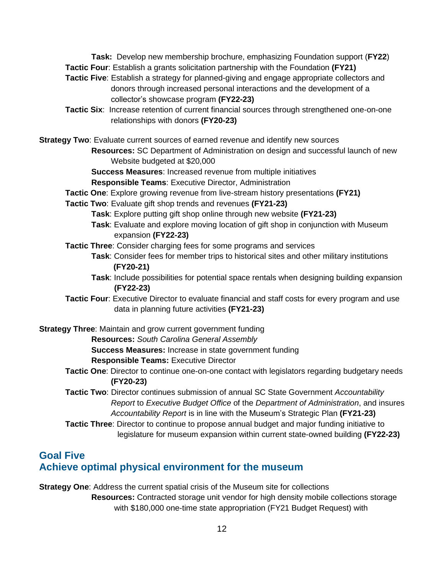**Task:** Develop new membership brochure, emphasizing Foundation support (**FY22**) **Tactic Four**: Establish a grants solicitation partnership with the Foundation **(FY21)**

- **Tactic Five**: Establish a strategy for planned-giving and engage appropriate collectors and donors through increased personal interactions and the development of a collector's showcase program **(FY22-23)**
- **Tactic Six**: Increase retention of current financial sources through strengthened one-on-one relationships with donors **(FY20-23)**

**Strategy Two**: Evaluate current sources of earned revenue and identify new sources

**Resources:** SC Department of Administration on design and successful launch of new Website budgeted at \$20,000

**Success Measures**: Increased revenue from multiple initiatives

**Responsible Teams**: Executive Director, Administration

- **Tactic One**: Explore growing revenue from live-stream history presentations **(FY21)**
- **Tactic Two**: Evaluate gift shop trends and revenues **(FY21-23)**
	- **Task**: Explore putting gift shop online through new website **(FY21-23)**
	- **Task**: Evaluate and explore moving location of gift shop in conjunction with Museum expansion **(FY22-23)**
- **Tactic Three**: Consider charging fees for some programs and services
	- **Task**: Consider fees for member trips to historical sites and other military institutions **(FY20-21)**
	- **Task**: Include possibilities for potential space rentals when designing building expansion **(FY22-23)**
- **Tactic Four**: Executive Director to evaluate financial and staff costs for every program and use data in planning future activities **(FY21-23)**

**Strategy Three**: Maintain and grow current government funding **Resources:** *South Carolina General Assembly* **Success Measures:** Increase in state government funding **Responsible Teams:** Executive Director

- **Tactic One**: Director to continue one-on-one contact with legislators regarding budgetary needs **(FY20-23)**
- **Tactic Two**: Director continues submission of annual SC State Government *Accountability Report* to *Executive Budget Office* of the *Department of Administration*, and insures *Accountability Report* is in line with the Museum's Strategic Plan **(FY21-23)**
- **Tactic Three**: Director to continue to propose annual budget and major funding initiative to legislature for museum expansion within current state-owned building **(FY22-23)**

# **Goal Five Achieve optimal physical environment for the museum**

**Strategy One**: Address the current spatial crisis of the Museum site for collections **Resources:** Contracted storage unit vendor for high density mobile collections storage with \$180,000 one-time state appropriation (FY21 Budget Request) with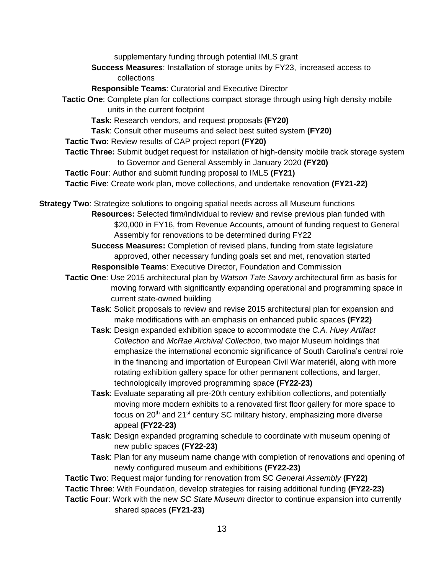supplementary funding through potential IMLS grant

**Success Measures**: Installation of storage units by FY23, increased access to collections

**Responsible Teams**: Curatorial and Executive Director

**Tactic One**: Complete plan for collections compact storage through using high density mobile units in the current footprint

**Task**: Research vendors, and request proposals **(FY20)**

**Task**: Consult other museums and select best suited system **(FY20)**

**Tactic Two**: Review results of CAP project report **(FY20)**

**Tactic Three:** Submit budget request for installation of high-density mobile track storage system to Governor and General Assembly in January 2020 **(FY20)**

**Tactic Four**: Author and submit funding proposal to IMLS **(FY21)**

**Tactic Five**: Create work plan, move collections, and undertake renovation **(FY21-22)**

**Strategy Two**: Strategize solutions to ongoing spatial needs across all Museum functions **Resources:** Selected firm/individual to review and revise previous plan funded with \$20,000 in FY16, from Revenue Accounts, amount of funding request to General Assembly for renovations to be determined during FY22

> **Success Measures:** Completion of revised plans, funding from state legislature approved, other necessary funding goals set and met, renovation started **Responsible Teams**: Executive Director, Foundation and Commission

- **Tactic One**: Use 2015 architectural plan by *Watson Tate Savory* architectural firm as basis for moving forward with significantly expanding operational and programming space in current state-owned building
	- **Task**: Solicit proposals to review and revise 2015 architectural plan for expansion and make modifications with an emphasis on enhanced public spaces **(FY22)**
	- **Task**: Design expanded exhibition space to accommodate the *C.A. Huey Artifact Collection* and *McRae Archival Collection*, two major Museum holdings that emphasize the international economic significance of South Carolina's central role in the financing and importation of European Civil War materiél, along with more rotating exhibition gallery space for other permanent collections, and larger, technologically improved programming space **(FY22-23)**
	- **Task**: Evaluate separating all pre-20th century exhibition collections, and potentially moving more modern exhibits to a renovated first floor gallery for more space to focus on 20<sup>th</sup> and 21<sup>st</sup> century SC military history, emphasizing more diverse appeal **(FY22-23)**
	- **Task**: Design expanded programing schedule to coordinate with museum opening of new public spaces **(FY22-23)**
	- **Task**: Plan for any museum name change with completion of renovations and opening of newly configured museum and exhibitions **(FY22-23)**

**Tactic Two**: Request major funding for renovation from SC *General Assembly* **(FY22)**

**Tactic Three**: With Foundation, develop strategies for raising additional funding **(FY22-23)**

**Tactic Four**: Work with the new *SC State Museum* director to continue expansion into currently shared spaces **(FY21-23)**